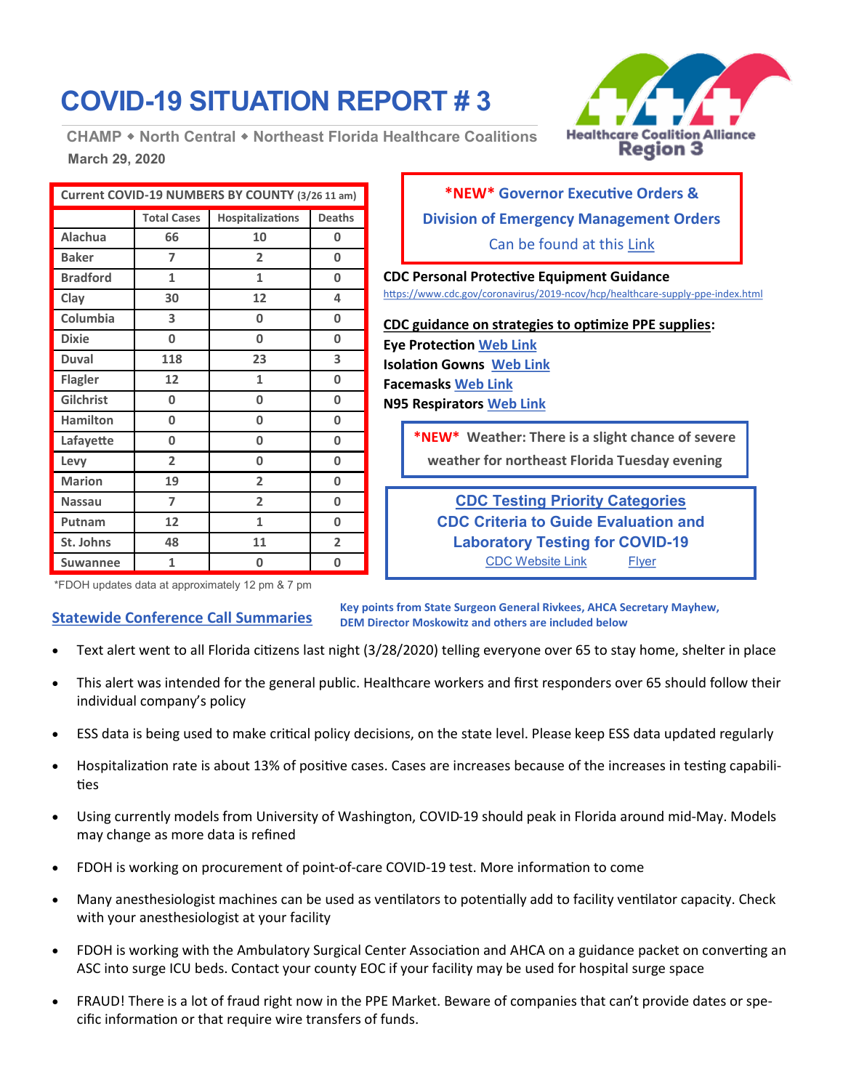# **COVID-19 SITUATION REPORT # 3**

**March 29, 2020 CHAMP North Central Northeast Florida Healthcare Coalitions**

| <b>Healthcare Coalition Alliance</b> |
|--------------------------------------|
| <b>Region 3</b>                      |

| Current COVID-19 NUMBERS BY COUNTY (3/26 11 am) |                    |                  |                |  |
|-------------------------------------------------|--------------------|------------------|----------------|--|
|                                                 | <b>Total Cases</b> | Hospitalizations | <b>Deaths</b>  |  |
| <b>Alachua</b>                                  | 66                 | 10               | 0              |  |
| <b>Baker</b>                                    | 7                  | $\overline{2}$   | 0              |  |
| <b>Bradford</b>                                 | 1                  | $\mathbf{1}$     | 0              |  |
| Clay                                            | 30                 | 12               | 4              |  |
| Columbia                                        | 3                  | 0                | 0              |  |
| <b>Dixie</b>                                    | 0                  | 0                | 0              |  |
| <b>Duval</b>                                    | 118                | 23               | 3              |  |
| <b>Flagler</b>                                  | 12                 | 1                | 0              |  |
| Gilchrist                                       | 0                  | 0                | 0              |  |
| <b>Hamilton</b>                                 | 0                  | 0                | 0              |  |
| Lafayette                                       | 0                  | 0                | 0              |  |
| Levy                                            | $\overline{2}$     | 0                | 0              |  |
| <b>Marion</b>                                   | 19                 | $\overline{2}$   | 0              |  |
| <b>Nassau</b>                                   | 7                  | 2                | 0              |  |
| Putnam                                          | 12                 | 1                | 0              |  |
| St. Johns                                       | 48                 | 11               | $\overline{2}$ |  |
| <b>Suwannee</b>                                 | 1                  | 0                | 0              |  |

## **\*NEW\* Governor Executive Orders & Division of Emergency Management Orders**  Can be found at this [Link](https://www.flgov.com/covid-19/)

**CDC Personal Protective Equipment Guidance** [https://www.cdc.gov/coronavirus/2019](https://www.cdc.gov/coronavirus/2019-ncov/hcp/healthcare-supply-ppe-index.html)-ncov/hcp/healthcare-supply-ppe-index.html

**CDC guidance on strategies to optimize PPE supplies: Eye Protection [Web Link](https://www.cdc.gov/coronavirus/2019-ncov/hcp/ppe-strategy/eye-protection.html) Isolation Gowns [Web Link](https://www.cdc.gov/coronavirus/2019-ncov/hcp/ppe-strategy/isolation-gowns.html) Facemasks [Web Link](https://www.cdc.gov/coronavirus/2019-ncov/hcp/ppe-strategy/face-masks.html) N95 Respirators [Web Link](https://www.cdc.gov/coronavirus/2019-ncov/hcp/respirators-strategy/index.html)**

**\*NEW\* Weather: There is a slight chance of severe weather for northeast Florida Tuesday evening**

**CDC Testing Priority Categories CDC Criteria to Guide Evaluation and Laboratory Testing for COVID-19** [CDC Website Link](https://www.cdc.gov/coronavirus/2019-nCoV/hcp/clinical-criteria.html) [Flyer](https://www.cdc.gov/coronavirus/2019-ncov/downloads/priority-testing-patients.pdf)

\*FDOH updates data at approximately 12 pm & 7 pm

## **Statewide Conference Call Summaries**

**Key points from State Surgeon General Rivkees, AHCA Secretary Mayhew, DEM Director Moskowitz and others are included below**

- Text alert went to all Florida citizens last night (3/28/2020) telling everyone over 65 to stay home, shelter in place
- This alert was intended for the general public. Healthcare workers and first responders over 65 should follow their individual company's policy
- ESS data is being used to make critical policy decisions, on the state level. Please keep ESS data updated regularly
- Hospitalization rate is about 13% of positive cases. Cases are increases because of the increases in testing capabilities
- Using currently models from University of Washington, COVID-19 should peak in Florida around mid-May. Models may change as more data is refined
- FDOH is working on procurement of point-of-care COVID-19 test. More information to come
- Many anesthesiologist machines can be used as ventilators to potentially add to facility ventilator capacity. Check with your anesthesiologist at your facility
- FDOH is working with the Ambulatory Surgical Center Association and AHCA on a guidance packet on converting an ASC into surge ICU beds. Contact your county EOC if your facility may be used for hospital surge space
- FRAUD! There is a lot of fraud right now in the PPE Market. Beware of companies that can't provide dates or specific information or that require wire transfers of funds.